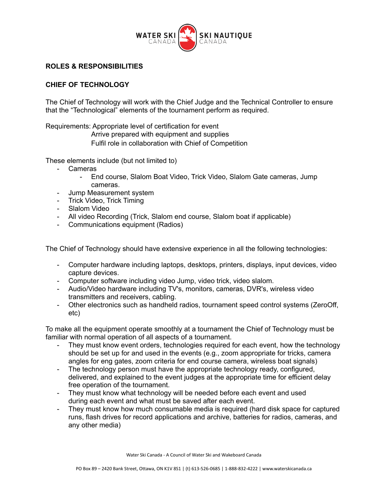

## **ROLES & RESPONSIBILITIES**

## **CHIEF OF TECHNOLOGY**

The Chief of Technology will work with the Chief Judge and the Technical Controller to ensure that the "Technological" elements of the tournament perform as required.

Requirements: Appropriate level of certification for event

Arrive prepared with equipment and supplies

Fulfil role in collaboration with Chief of Competition

These elements include (but not limited to)

- Cameras
	- End course, Slalom Boat Video, Trick Video, Slalom Gate cameras, Jump cameras.
- Jump Measurement system
- Trick Video, Trick Timing
- Slalom Video
- All video Recording (Trick, Slalom end course, Slalom boat if applicable)
- Communications equipment (Radios)

The Chief of Technology should have extensive experience in all the following technologies:

- Computer hardware including laptops, desktops, printers, displays, input devices, video capture devices.
- Computer software including video Jump, video trick, video slalom.
- Audio/Video hardware including TV's, monitors, cameras, DVR's, wireless video transmitters and receivers, cabling.
- Other electronics such as handheld radios, tournament speed control systems (ZeroOff, etc)

To make all the equipment operate smoothly at a tournament the Chief of Technology must be familiar with normal operation of all aspects of a tournament.

- They must know event orders, technologies required for each event, how the technology should be set up for and used in the events (e.g., zoom appropriate for tricks, camera angles for eng gates, zoom criteria for end course camera, wireless boat signals)
- The technology person must have the appropriate technology ready, configured, delivered, and explained to the event judges at the appropriate time for efficient delay free operation of the tournament.
- They must know what technology will be needed before each event and used during each event and what must be saved after each event.
- They must know how much consumable media is required (hard disk space for captured runs, flash drives for record applications and archive, batteries for radios, cameras, and any other media)

Water Ski Canada - A Council of Water Ski and Wakeboard Canada